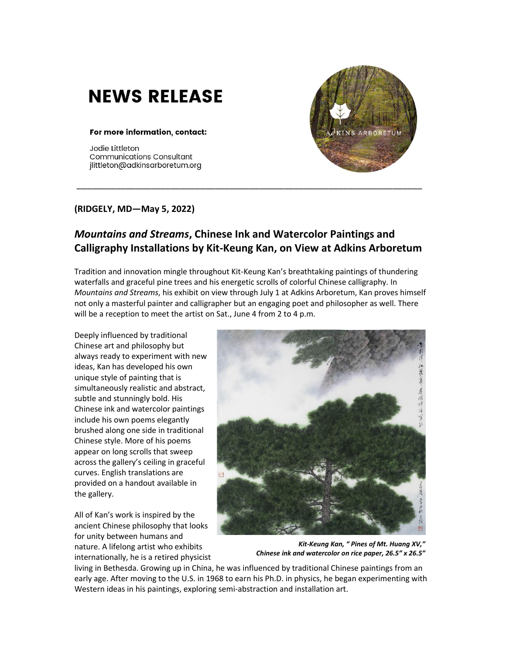## **NEWS RELEASE**

## For more information, contact:

Jodie Littleton **Communications Consultant** jlittleton@adkinsarboretum.org



## **(RIDGELY, MD—May 5, 2022)**

## *Mountains and Streams***, Chinese Ink and Watercolor Paintings and Calligraphy Installations by Kit-Keung Kan, on View at Adkins Arboretum**

\_\_\_\_\_\_\_\_\_\_\_\_\_\_\_\_\_\_\_\_\_\_\_\_\_\_\_\_\_\_\_\_\_\_\_\_\_\_\_\_\_\_\_\_\_\_\_\_\_\_\_\_\_\_\_\_\_\_\_\_\_\_\_\_\_\_\_\_\_\_

Tradition and innovation mingle throughout Kit-Keung Kan's breathtaking paintings of thundering waterfalls and graceful pine trees and his energetic scrolls of colorful Chinese calligraphy. In *Mountains and Streams*, his exhibit on view through July 1 at Adkins Arboretum, Kan proves himself not only a masterful painter and calligrapher but an engaging poet and philosopher as well. There will be a reception to meet the artist on Sat., June 4 from 2 to 4 p.m.

Deeply influenced by traditional Chinese art and philosophy but always ready to experiment with new ideas, Kan has developed his own unique style of painting that is simultaneously realistic and abstract, subtle and stunningly bold. His Chinese ink and watercolor paintings include his own poems elegantly brushed along one side in traditional Chinese style. More of his poems appear on long scrolls that sweep across the gallery's ceiling in graceful curves. English translations are provided on a handout available in the gallery.

All of Kan's work is inspired by the ancient Chinese philosophy that looks for unity between humans and nature. A lifelong artist who exhibits internationally, he is a retired physicist



*Kit-Keung Kan, " Pines of Mt. Huang XV," Chinese ink and watercolor on rice paper, 26.5" x 26.5"*

living in Bethesda. Growing up in China, he was influenced by traditional Chinese paintings from an early age. After moving to the U.S. in 1968 to earn his Ph.D. in physics, he began experimenting with Western ideas in his paintings, exploring semi-abstraction and installation art.